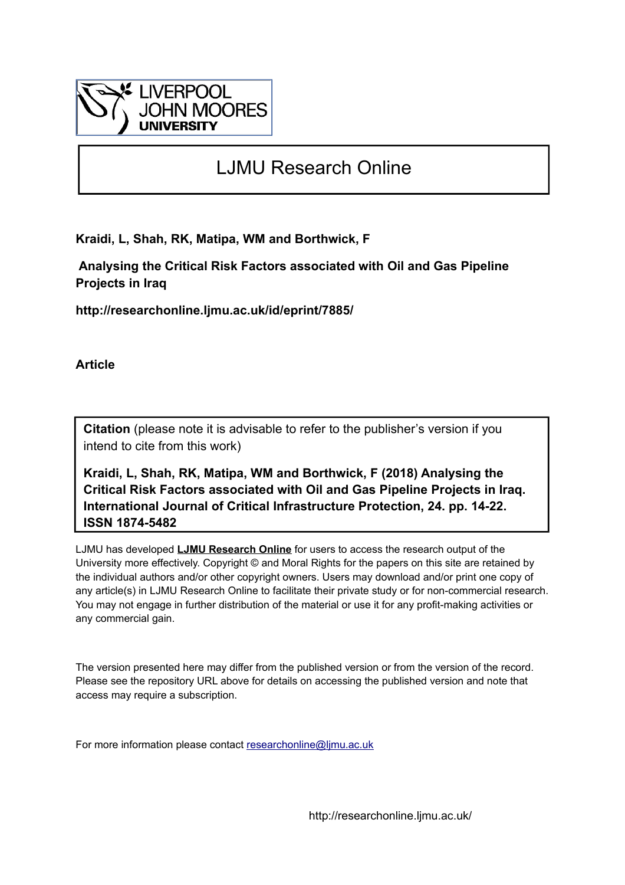

# LJMU Research Online

**Kraidi, L, Shah, RK, Matipa, WM and Borthwick, F**

 **Analysing the Critical Risk Factors associated with Oil and Gas Pipeline Projects in Iraq**

**http://researchonline.ljmu.ac.uk/id/eprint/7885/**

**Article**

**Citation** (please note it is advisable to refer to the publisher's version if you intend to cite from this work)

**Kraidi, L, Shah, RK, Matipa, WM and Borthwick, F (2018) Analysing the Critical Risk Factors associated with Oil and Gas Pipeline Projects in Iraq. International Journal of Critical Infrastructure Protection, 24. pp. 14-22. ISSN 1874-5482** 

LJMU has developed **[LJMU Research Online](http://researchonline.ljmu.ac.uk/)** for users to access the research output of the University more effectively. Copyright © and Moral Rights for the papers on this site are retained by the individual authors and/or other copyright owners. Users may download and/or print one copy of any article(s) in LJMU Research Online to facilitate their private study or for non-commercial research. You may not engage in further distribution of the material or use it for any profit-making activities or any commercial gain.

The version presented here may differ from the published version or from the version of the record. Please see the repository URL above for details on accessing the published version and note that access may require a subscription.

For more information please contact [researchonline@ljmu.ac.uk](mailto:researchonline@ljmu.ac.uk)

http://researchonline.ljmu.ac.uk/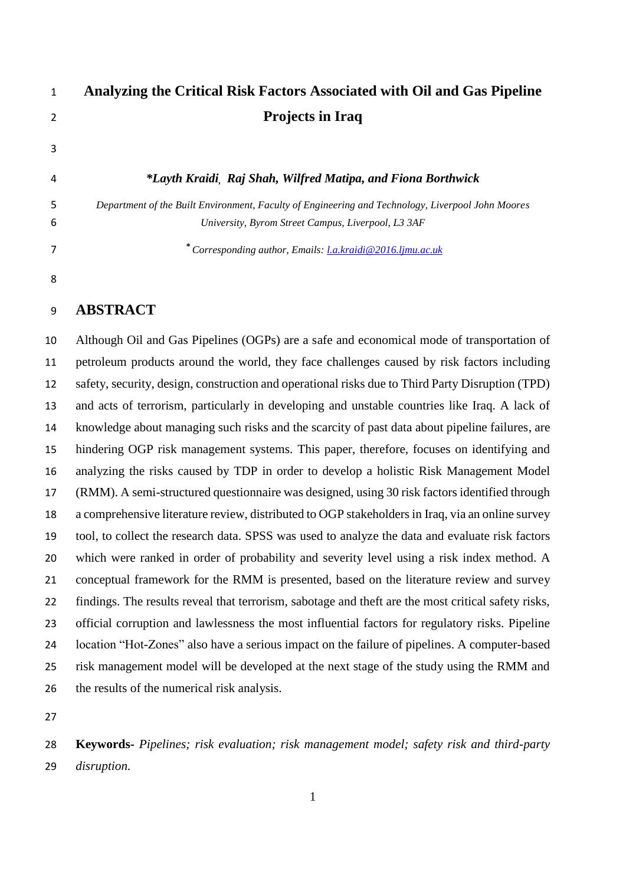| 1 | Analyzing the Critical Risk Factors Associated with Oil and Gas Pipeline                          |
|---|---------------------------------------------------------------------------------------------------|
| 2 | <b>Projects in Iraq</b>                                                                           |
| 3 |                                                                                                   |
| 4 | *Layth Kraidi, Raj Shah, Wilfred Matipa, and Fiona Borthwick                                      |
| 5 | Department of the Built Environment, Faculty of Engineering and Technology, Liverpool John Moores |
| 6 | University, Byrom Street Campus, Liverpool, L3 3AF                                                |
| 7 | * Corresponding author, Emails: <i>La.kraidi</i> @2016.ljmu.ac.uk                                 |
| 8 |                                                                                                   |

## **ABSTRACT**

 Although Oil and Gas Pipelines (OGPs) are a safe and economical mode of transportation of petroleum products around the world, they face challenges caused by risk factors including safety, security, design, construction and operational risks due to Third Party Disruption (TPD) and acts of terrorism, particularly in developing and unstable countries like Iraq. A lack of knowledge about managing such risks and the scarcity of past data about pipeline failures, are hindering OGP risk management systems. This paper, therefore, focuses on identifying and analyzing the risks caused by TDP in order to develop a holistic Risk Management Model (RMM). A semi-structured questionnaire was designed, using 30 risk factors identified through a comprehensive literature review, distributed to OGP stakeholders in Iraq, via an online survey tool, to collect the research data. SPSS was used to analyze the data and evaluate risk factors which were ranked in order of probability and severity level using a risk index method. A conceptual framework for the RMM is presented, based on the literature review and survey findings. The results reveal that terrorism, sabotage and theft are the most critical safety risks, official corruption and lawlessness the most influential factors for regulatory risks. Pipeline location "Hot-Zones" also have a serious impact on the failure of pipelines. A computer-based risk management model will be developed at the next stage of the study using the RMM and the results of the numerical risk analysis.

 **Keywords-** *Pipelines; risk evaluation; risk management model; safety risk and third-party disruption.*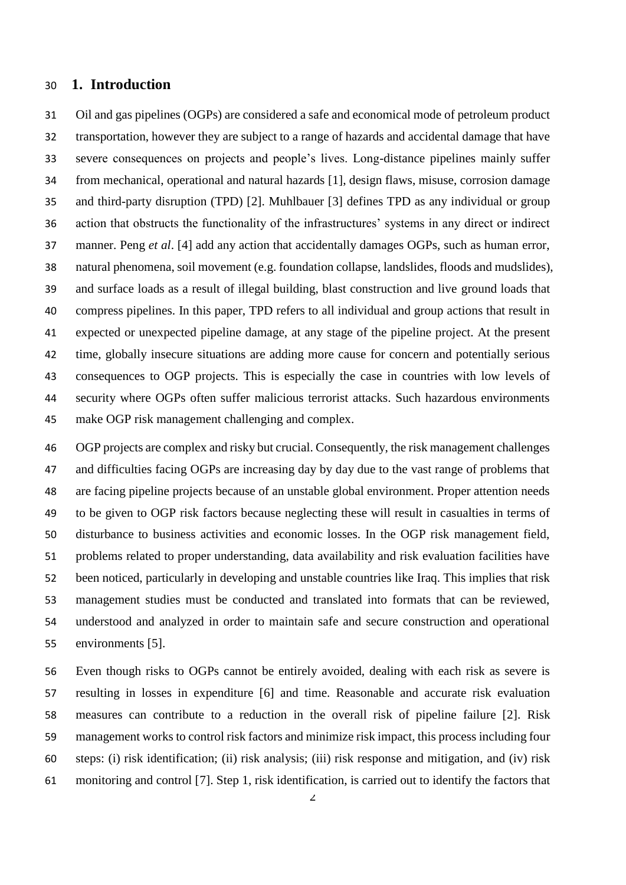#### **1. Introduction**

 Oil and gas pipelines (OGPs) are considered a safe and economical mode of petroleum product transportation, however they are subject to a range of hazards and accidental damage that have severe consequences on projects and people's lives. Long-distance pipelines mainly suffer from mechanical, operational and natural hazards [1], design flaws, misuse, corrosion damage and third-party disruption (TPD) [2]. Muhlbauer [3] defines TPD as any individual or group action that obstructs the functionality of the infrastructures' systems in any direct or indirect manner. Peng *et al*. [4] add any action that accidentally damages OGPs, such as human error, natural phenomena, soil movement (e.g. foundation collapse, landslides, floods and mudslides), and surface loads as a result of illegal building, blast construction and live ground loads that compress pipelines. In this paper, TPD refers to all individual and group actions that result in expected or unexpected pipeline damage, at any stage of the pipeline project. At the present time, globally insecure situations are adding more cause for concern and potentially serious consequences to OGP projects. This is especially the case in countries with low levels of security where OGPs often suffer malicious terrorist attacks. Such hazardous environments make OGP risk management challenging and complex.

 OGP projects are complex and risky but crucial. Consequently, the risk management challenges and difficulties facing OGPs are increasing day by day due to the vast range of problems that are facing pipeline projects because of an unstable global environment. Proper attention needs to be given to OGP risk factors because neglecting these will result in casualties in terms of disturbance to business activities and economic losses. In the OGP risk management field, problems related to proper understanding, data availability and risk evaluation facilities have been noticed, particularly in developing and unstable countries like Iraq. This implies that risk management studies must be conducted and translated into formats that can be reviewed, understood and analyzed in order to maintain safe and secure construction and operational environments [5].

 Even though risks to OGPs cannot be entirely avoided, dealing with each risk as severe is resulting in losses in expenditure [6] and time. Reasonable and accurate risk evaluation measures can contribute to a reduction in the overall risk of pipeline failure [2]. Risk management works to control risk factors and minimize risk impact, this process including four steps: (i) risk identification; (ii) risk analysis; (iii) risk response and mitigation, and (iv) risk monitoring and control [7]. Step 1, risk identification, is carried out to identify the factors that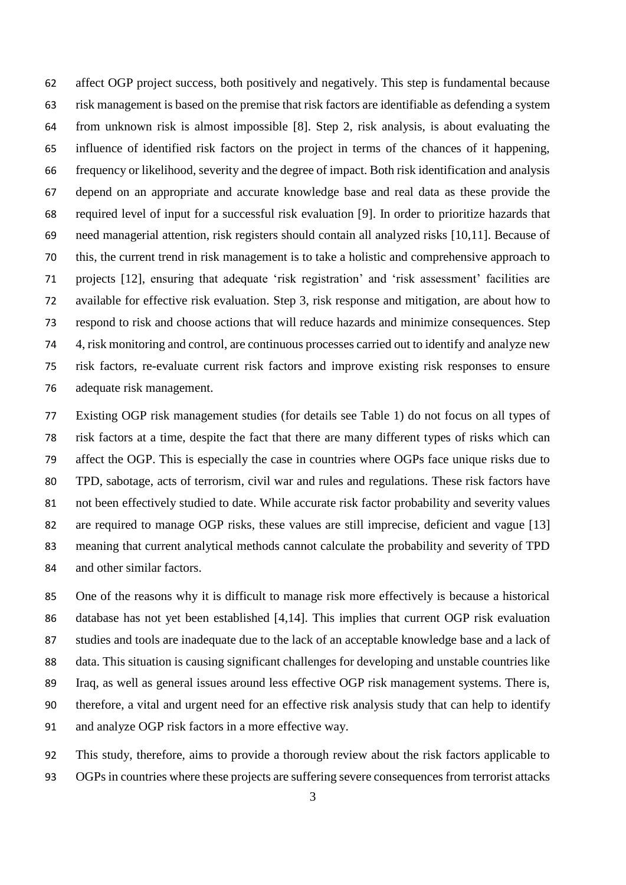affect OGP project success, both positively and negatively. This step is fundamental because risk management is based on the premise that risk factors are identifiable as defending a system from unknown risk is almost impossible [8]. Step 2, risk analysis, is about evaluating the influence of identified risk factors on the project in terms of the chances of it happening, frequency or likelihood, severity and the degree of impact. Both risk identification and analysis depend on an appropriate and accurate knowledge base and real data as these provide the required level of input for a successful risk evaluation [9]. In order to prioritize hazards that need managerial attention, risk registers should contain all analyzed risks [10,11]. Because of this, the current trend in risk management is to take a holistic and comprehensive approach to projects [12], ensuring that adequate 'risk registration' and 'risk assessment' facilities are available for effective risk evaluation. Step 3, risk response and mitigation, are about how to respond to risk and choose actions that will reduce hazards and minimize consequences. Step 4, risk monitoring and control, are continuous processes carried out to identify and analyze new risk factors, re-evaluate current risk factors and improve existing risk responses to ensure adequate risk management.

 Existing OGP risk management studies (for details see Table 1) do not focus on all types of risk factors at a time, despite the fact that there are many different types of risks which can affect the OGP. This is especially the case in countries where OGPs face unique risks due to TPD, sabotage, acts of terrorism, civil war and rules and regulations. These risk factors have not been effectively studied to date. While accurate risk factor probability and severity values are required to manage OGP risks, these values are still imprecise, deficient and vague [13] meaning that current analytical methods cannot calculate the probability and severity of TPD and other similar factors.

 One of the reasons why it is difficult to manage risk more effectively is because a historical database has not yet been established [4,14]. This implies that current OGP risk evaluation studies and tools are inadequate due to the lack of an acceptable knowledge base and a lack of data. This situation is causing significant challenges for developing and unstable countries like Iraq, as well as general issues around less effective OGP risk management systems. There is, therefore, a vital and urgent need for an effective risk analysis study that can help to identify and analyze OGP risk factors in a more effective way.

 This study, therefore, aims to provide a thorough review about the risk factors applicable to OGPs in countries where these projects are suffering severe consequences from terrorist attacks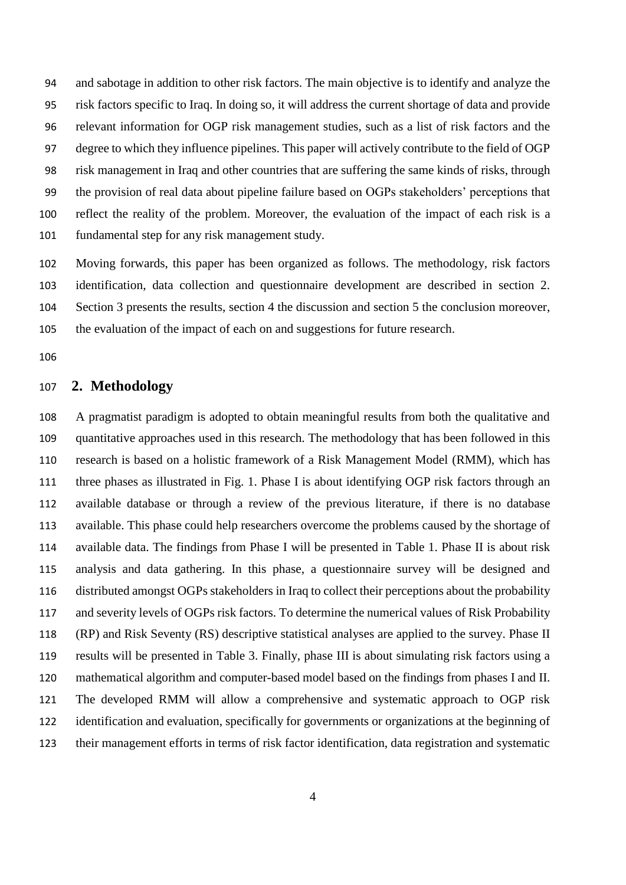and sabotage in addition to other risk factors. The main objective is to identify and analyze the risk factors specific to Iraq. In doing so, it will address the current shortage of data and provide relevant information for OGP risk management studies, such as a list of risk factors and the degree to which they influence pipelines. This paper will actively contribute to the field of OGP risk management in Iraq and other countries that are suffering the same kinds of risks, through the provision of real data about pipeline failure based on OGPs stakeholders' perceptions that reflect the reality of the problem. Moreover, the evaluation of the impact of each risk is a fundamental step for any risk management study.

 Moving forwards, this paper has been organized as follows. The methodology, risk factors identification, data collection and questionnaire development are described in section 2. Section 3 presents the results, section 4 the discussion and section 5 the conclusion moreover, the evaluation of the impact of each on and suggestions for future research.

## **2. Methodology**

 A pragmatist paradigm is adopted to obtain meaningful results from both the qualitative and quantitative approaches used in this research. The methodology that has been followed in this research is based on a holistic framework of a Risk Management Model (RMM), which has three phases as illustrated in Fig. 1. Phase I is about identifying OGP risk factors through an available database or through a review of the previous literature, if there is no database available. This phase could help researchers overcome the problems caused by the shortage of available data. The findings from Phase I will be presented in Table 1. Phase II is about risk analysis and data gathering. In this phase, a questionnaire survey will be designed and distributed amongst OGPs stakeholders in Iraq to collect their perceptions about the probability and severity levels of OGPs risk factors. To determine the numerical values of Risk Probability (RP) and Risk Seventy (RS) descriptive statistical analyses are applied to the survey. Phase II results will be presented in Table 3. Finally, phase III is about simulating risk factors using a mathematical algorithm and computer-based model based on the findings from phases I and II. The developed RMM will allow a comprehensive and systematic approach to OGP risk identification and evaluation, specifically for governments or organizations at the beginning of their management efforts in terms of risk factor identification, data registration and systematic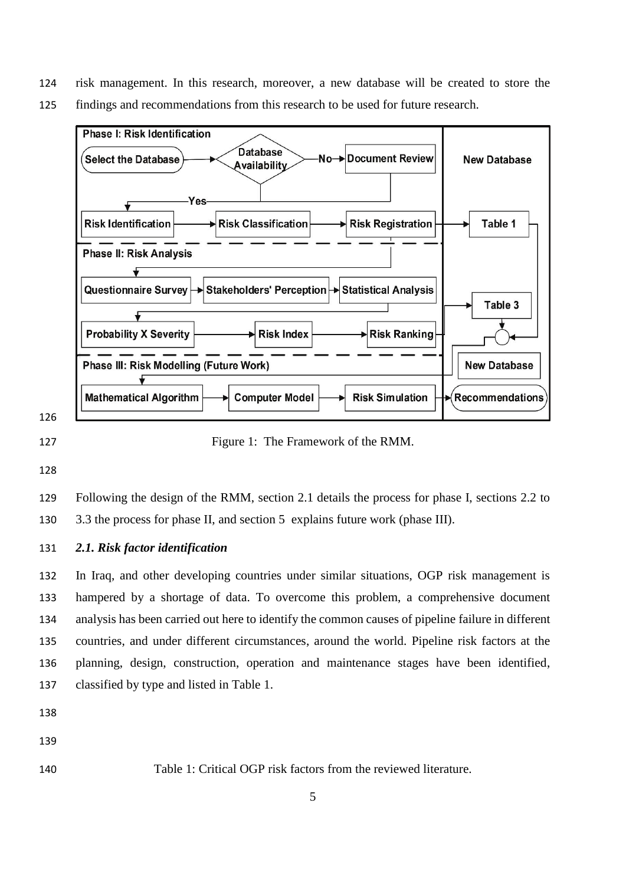- risk management. In this research, moreover, a new database will be created to store the
- findings and recommendations from this research to be used for future research.



127 Figure 1: The Framework of the RMM.

 Following the design of the RMM, section 2.1 details the process for phase I, sections 2.2 to 3.3 the process for phase II, and section 5 explains future work (phase III).

*2.1. Risk factor identification*

 In Iraq, and other developing countries under similar situations, OGP risk management is hampered by a shortage of data. To overcome this problem, a comprehensive document analysis has been carried out here to identify the common causes of pipeline failure in different countries, and under different circumstances, around the world. Pipeline risk factors at the planning, design, construction, operation and maintenance stages have been identified, classified by type and listed in Table 1.

- 
- Table 1: Critical OGP risk factors from the reviewed literature.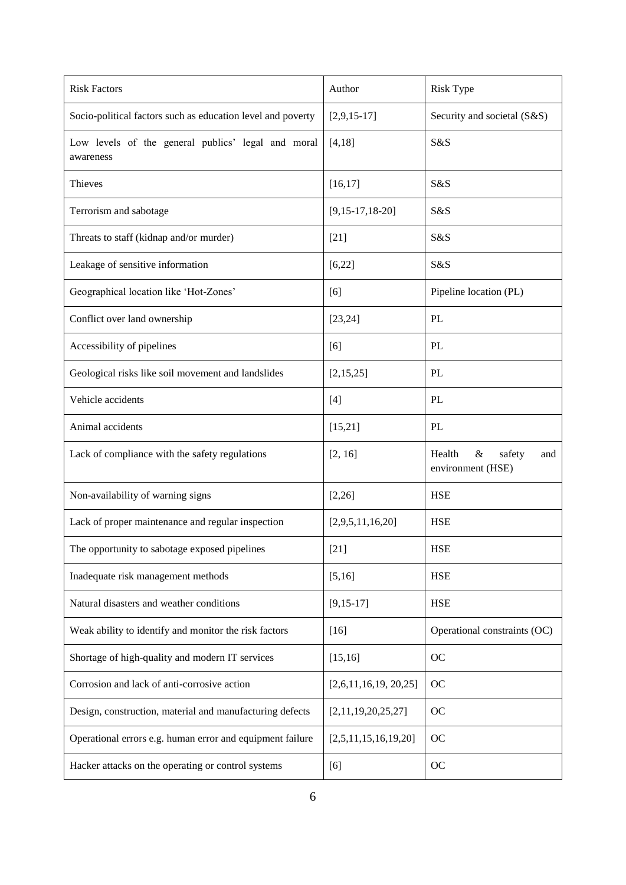| <b>Risk Factors</b>                                             | Author               | <b>Risk Type</b>                                     |
|-----------------------------------------------------------------|----------------------|------------------------------------------------------|
| Socio-political factors such as education level and poverty     | $[2,9,15-17]$        | Security and societal (S&S)                          |
| Low levels of the general publics' legal and moral<br>awareness | [4, 18]              | S&S                                                  |
| Thieves                                                         | [16, 17]             | S&S                                                  |
| Terrorism and sabotage                                          | $[9,15-17,18-20]$    | S&S                                                  |
| Threats to staff (kidnap and/or murder)                         | $[21]$               | S&S                                                  |
| Leakage of sensitive information                                | [6, 22]              | S&S                                                  |
| Geographical location like 'Hot-Zones'                          | [6]                  | Pipeline location (PL)                               |
| Conflict over land ownership                                    | [23, 24]             | PL                                                   |
| Accessibility of pipelines                                      | [6]                  | PL                                                   |
| Geological risks like soil movement and landslides              | [2,15,25]            | PL                                                   |
| Vehicle accidents                                               | $[4]$                | PL                                                   |
| Animal accidents                                                | [15,21]              | PL                                                   |
| Lack of compliance with the safety regulations                  | [2, 16]              | Health<br>$\&$<br>safety<br>and<br>environment (HSE) |
| Non-availability of warning signs                               | [2,26]               | <b>HSE</b>                                           |
| Lack of proper maintenance and regular inspection               | [2,9,5,11,16,20]     | <b>HSE</b>                                           |
| The opportunity to sabotage exposed pipelines                   | $[21]$               | <b>HSE</b>                                           |
| Inadequate risk management methods                              | [5,16]               | <b>HSE</b>                                           |
| Natural disasters and weather conditions                        | $[9, 15-17]$         | <b>HSE</b>                                           |
| Weak ability to identify and monitor the risk factors           | $[16]$               | Operational constraints (OC)                         |
| Shortage of high-quality and modern IT services                 | [15, 16]             | OC                                                   |
| Corrosion and lack of anti-corrosive action                     | [2,6,11,16,19,20,25] | <b>OC</b>                                            |
| Design, construction, material and manufacturing defects        | [2,11,19,20,25,27]   | OC                                                   |
| Operational errors e.g. human error and equipment failure       | [2,5,11,15,16,19,20] | OC                                                   |
| Hacker attacks on the operating or control systems              | [6]                  | OC                                                   |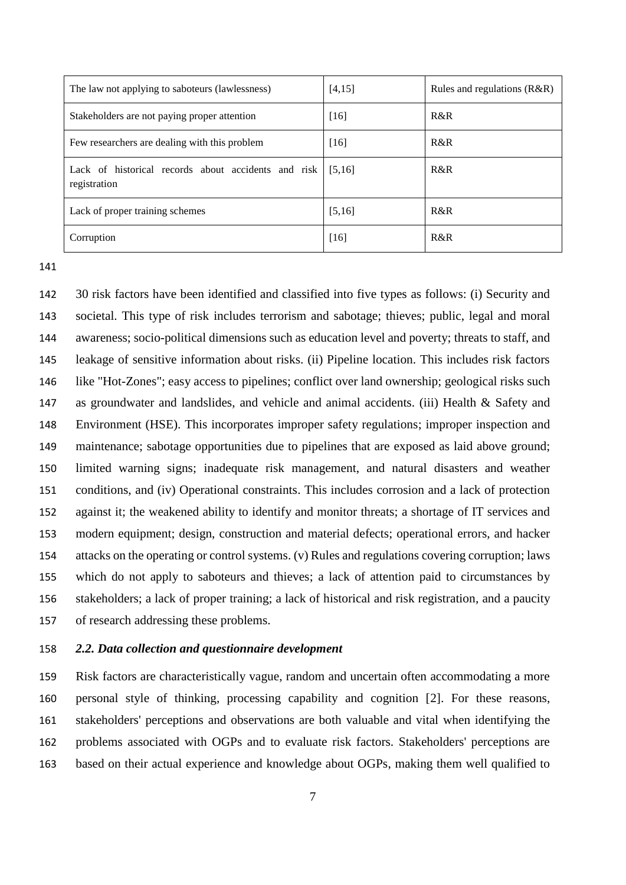| The law not applying to saboteurs (lawlessness)                     | [4,15] | Rules and regulations $(R&R)$ |
|---------------------------------------------------------------------|--------|-------------------------------|
| Stakeholders are not paying proper attention                        | $[16]$ | R&R                           |
| Few researchers are dealing with this problem                       | $[16]$ | R&R                           |
| Lack of historical records about accidents and risk<br>registration | [5,16] | R&R                           |
| Lack of proper training schemes                                     | [5,16] | R&R                           |
| Corruption                                                          | $[16]$ | R&R                           |

 30 risk factors have been identified and classified into five types as follows: (i) Security and societal. This type of risk includes terrorism and sabotage; thieves; public, legal and moral awareness; socio-political dimensions such as education level and poverty; threats to staff, and leakage of sensitive information about risks. (ii) Pipeline location. This includes risk factors like "Hot-Zones"; easy access to pipelines; conflict over land ownership; geological risks such as groundwater and landslides, and vehicle and animal accidents. (iii) Health & Safety and Environment (HSE). This incorporates improper safety regulations; improper inspection and maintenance; sabotage opportunities due to pipelines that are exposed as laid above ground; limited warning signs; inadequate risk management, and natural disasters and weather conditions, and (iv) Operational constraints. This includes corrosion and a lack of protection against it; the weakened ability to identify and monitor threats; a shortage of IT services and modern equipment; design, construction and material defects; operational errors, and hacker attacks on the operating or control systems. (v) Rules and regulations covering corruption; laws which do not apply to saboteurs and thieves; a lack of attention paid to circumstances by stakeholders; a lack of proper training; a lack of historical and risk registration, and a paucity of research addressing these problems.

#### *2.2. Data collection and questionnaire development*

 Risk factors are characteristically vague, random and uncertain often accommodating a more personal style of thinking, processing capability and cognition [2]. For these reasons, stakeholders' perceptions and observations are both valuable and vital when identifying the problems associated with OGPs and to evaluate risk factors. Stakeholders' perceptions are based on their actual experience and knowledge about OGPs, making them well qualified to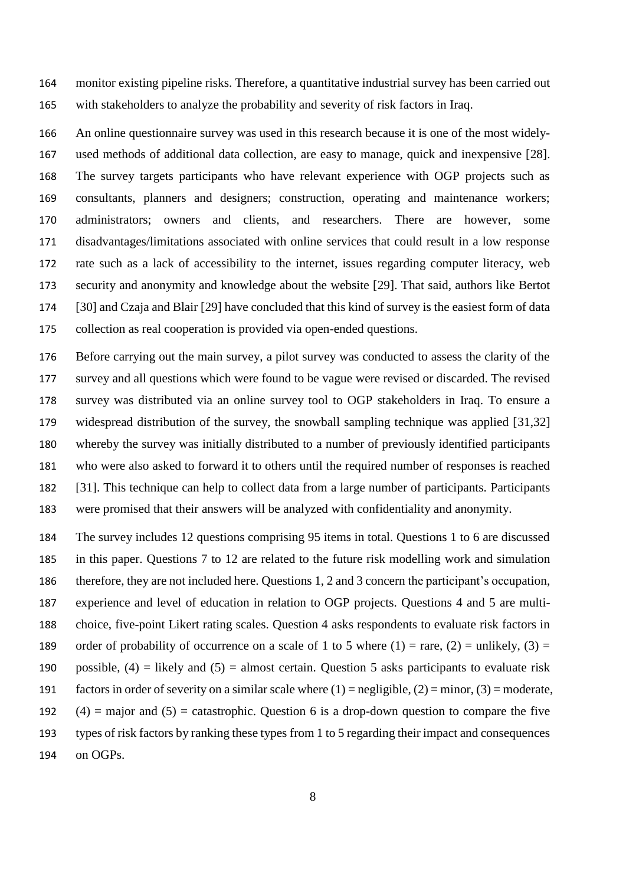monitor existing pipeline risks. Therefore, a quantitative industrial survey has been carried out with stakeholders to analyze the probability and severity of risk factors in Iraq.

 An online questionnaire survey was used in this research because it is one of the most widely- used methods of additional data collection, are easy to manage, quick and inexpensive [28]. The survey targets participants who have relevant experience with OGP projects such as consultants, planners and designers; construction, operating and maintenance workers; administrators; owners and clients, and researchers. There are however, some disadvantages/limitations associated with online services that could result in a low response rate such as a lack of accessibility to the internet, issues regarding computer literacy, web security and anonymity and knowledge about the website [29]. That said, authors like Bertot [30] and Czaja and Blair [29] have concluded that this kind of survey is the easiest form of data collection as real cooperation is provided via open-ended questions.

 Before carrying out the main survey, a pilot survey was conducted to assess the clarity of the survey and all questions which were found to be vague were revised or discarded. The revised survey was distributed via an online survey tool to OGP stakeholders in Iraq. To ensure a widespread distribution of the survey, the snowball sampling technique was applied [31,32] whereby the survey was initially distributed to a number of previously identified participants who were also asked to forward it to others until the required number of responses is reached [31]. This technique can help to collect data from a large number of participants. Participants were promised that their answers will be analyzed with confidentiality and anonymity.

 The survey includes 12 questions comprising 95 items in total. Questions 1 to 6 are discussed in this paper. Questions 7 to 12 are related to the future risk modelling work and simulation therefore, they are not included here. Questions 1, 2 and 3 concern the participant's occupation, experience and level of education in relation to OGP projects. Questions 4 and 5 are multi- choice, five-point Likert rating scales. Question 4 asks respondents to evaluate risk factors in 189 order of probability of occurrence on a scale of 1 to 5 where (1) = rare, (2) = unlikely, (3) = 190 possible,  $(4)$  = likely and  $(5)$  = almost certain. Question 5 asks participants to evaluate risk 191 factors in order of severity on a similar scale where  $(1)$  = negligible,  $(2)$  = minor,  $(3)$  = moderate,  $(4)$  = major and  $(5)$  = catastrophic. Question 6 is a drop-down question to compare the five types of risk factors by ranking these types from 1 to 5 regarding their impact and consequences on OGPs.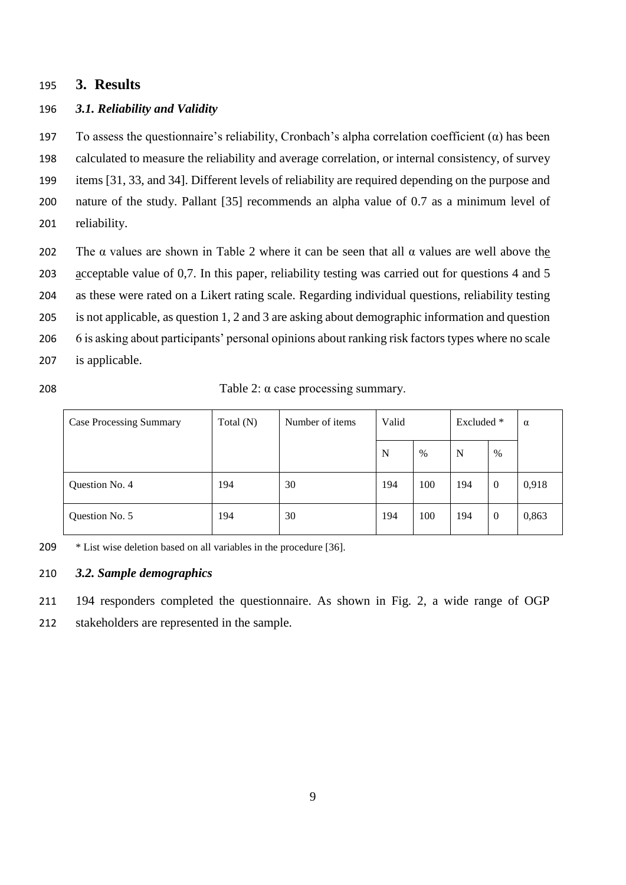## **3. Results**

#### *3.1. Reliability and Validity*

197 To assess the questionnaire's reliability, Cronbach's alpha correlation coefficient  $(\alpha)$  has been calculated to measure the reliability and average correlation, or internal consistency, of survey items [31, 33, and 34]. Different levels of reliability are required depending on the purpose and nature of the study. Pallant [35] recommends an alpha value of 0.7 as a minimum level of reliability.

- 202 The  $\alpha$  values are shown in Table 2 where it can be seen that all  $\alpha$  values are well above the acceptable value of 0,7. In this paper, reliability testing was carried out for questions 4 and 5 as these were rated on a Likert rating scale. Regarding individual questions, reliability testing is not applicable, as question 1, 2 and 3 are asking about demographic information and question 6 is asking about participants' personal opinions about ranking risk factors types where no scale is applicable.
- 

Table 2: α case processing summary.

| <b>Case Processing Summary</b> | Total $(N)$ | Number of items | Valid |     | Excluded * |          | $\alpha$ |
|--------------------------------|-------------|-----------------|-------|-----|------------|----------|----------|
|                                |             |                 | N     | %   | N          | $\%$     |          |
| Question No. 4                 | 194         | 30              | 194   | 100 | 194        | $\theta$ | 0,918    |
| Question No. 5                 | 194         | 30              | 194   | 100 | 194        | $\theta$ | 0,863    |

\* List wise deletion based on all variables in the procedure [36].

## *3.2. Sample demographics*

194 responders completed the questionnaire. As shown in Fig. 2, a wide range of OGP

stakeholders are represented in the sample.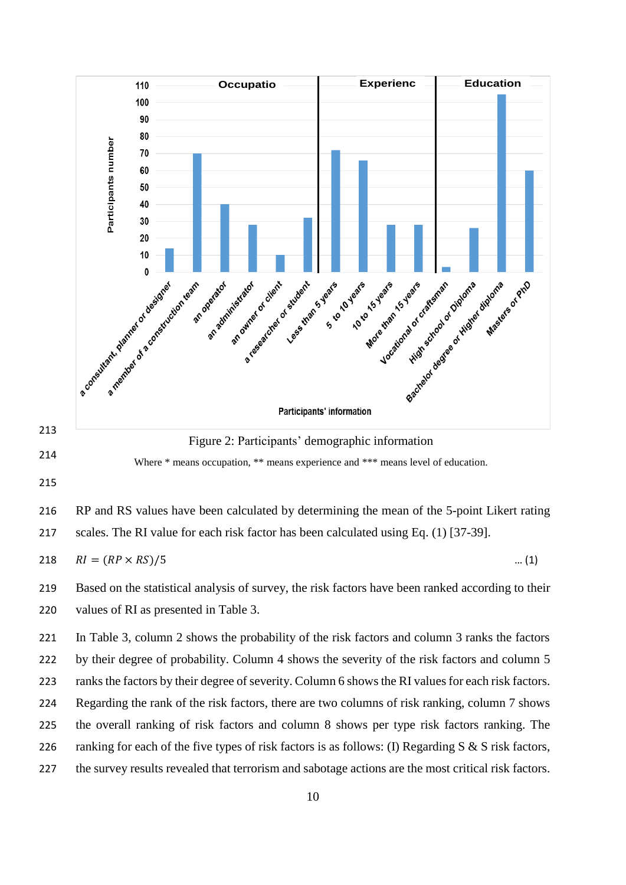

 Based on the statistical analysis of survey, the risk factors have been ranked according to their values of RI as presented in Table 3.

 In Table 3, column 2 shows the probability of the risk factors and column 3 ranks the factors 222 by their degree of probability. Column 4 shows the severity of the risk factors and column 5 ranks the factors by their degree of severity. Column 6 showsthe RI values for each risk factors. Regarding the rank of the risk factors, there are two columns of risk ranking, column 7 shows the overall ranking of risk factors and column 8 shows per type risk factors ranking. The 226 ranking for each of the five types of risk factors is as follows: (I) Regarding S & S risk factors, the survey results revealed that terrorism and sabotage actions are the most critical risk factors.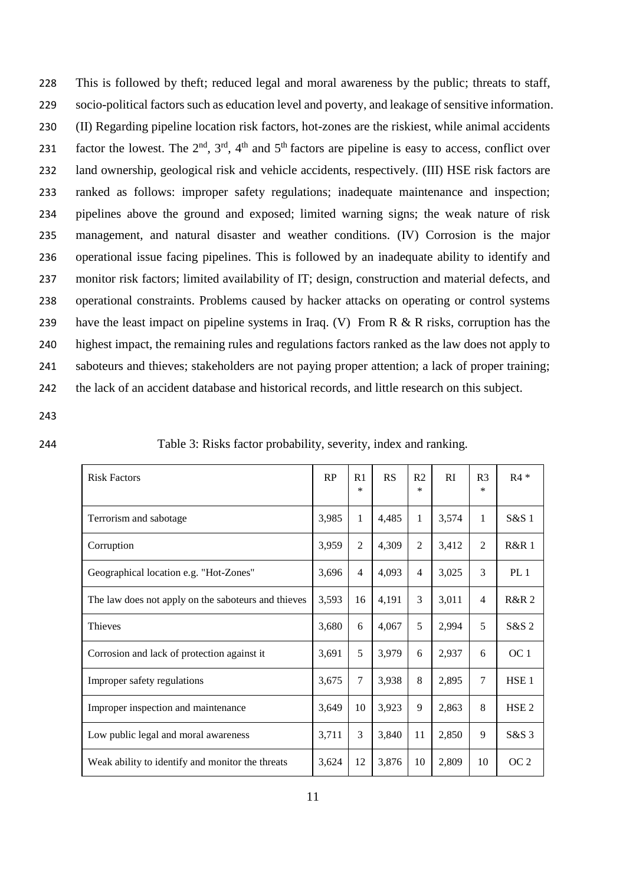This is followed by theft; reduced legal and moral awareness by the public; threats to staff, socio-political factors such as education level and poverty, and leakage of sensitive information. (II) Regarding pipeline location risk factors, hot-zones are the riskiest, while animal accidents factor the lowest. The  $2<sup>nd</sup>$ ,  $3<sup>rd</sup>$ ,  $4<sup>th</sup>$  and  $5<sup>th</sup>$  factors are pipeline is easy to access, conflict over land ownership, geological risk and vehicle accidents, respectively. (III) HSE risk factors are ranked as follows: improper safety regulations; inadequate maintenance and inspection; pipelines above the ground and exposed; limited warning signs; the weak nature of risk management, and natural disaster and weather conditions. (IV) Corrosion is the major operational issue facing pipelines. This is followed by an inadequate ability to identify and monitor risk factors; limited availability of IT; design, construction and material defects, and operational constraints. Problems caused by hacker attacks on operating or control systems 239 have the least impact on pipeline systems in Iraq. (V) From R & R risks, corruption has the highest impact, the remaining rules and regulations factors ranked as the law does not apply to saboteurs and thieves; stakeholders are not paying proper attention; a lack of proper training; the lack of an accident database and historical records, and little research on this subject.

- 243
- 

244 Table 3: Risks factor probability, severity, index and ranking*.*

| <b>Risk Factors</b>                                 | RP    | R <sub>1</sub><br>$\ast$ | RS    | R <sub>2</sub><br>$\ast$ | <b>RI</b> | R <sub>3</sub><br>$\ast$ | $R4*$            |
|-----------------------------------------------------|-------|--------------------------|-------|--------------------------|-----------|--------------------------|------------------|
| Terrorism and sabotage                              | 3,985 | 1                        | 4,485 | 1                        | 3,574     | 1                        | S&S 1            |
| Corruption                                          | 3,959 | 2                        | 4,309 | $\overline{2}$           | 3,412     | $\overline{2}$           | R&R1             |
| Geographical location e.g. "Hot-Zones"              | 3,696 | 4                        | 4,093 | 4                        | 3,025     | 3                        | PL <sub>1</sub>  |
| The law does not apply on the saboteurs and thieves | 3,593 | 16                       | 4,191 | 3                        | 3,011     | 4                        | <b>R&amp;R2</b>  |
| <b>Thieves</b>                                      | 3,680 | 6                        | 4,067 | 5                        | 2,994     | 5                        | S&S 2            |
| Corrosion and lack of protection against it         | 3,691 | 5                        | 3,979 | 6                        | 2,937     | 6                        | OC 1             |
| Improper safety regulations                         | 3,675 | 7                        | 3,938 | 8                        | 2,895     | 7                        | HSE <sub>1</sub> |
| Improper inspection and maintenance                 | 3,649 | 10                       | 3,923 | 9                        | 2,863     | 8                        | HSE <sub>2</sub> |
| Low public legal and moral awareness                | 3,711 | 3                        | 3,840 | 11                       | 2,850     | 9                        | $S&S$ 3          |
| Weak ability to identify and monitor the threats    | 3,624 | 12                       | 3,876 | 10                       | 2,809     | 10                       | OC <sub>2</sub>  |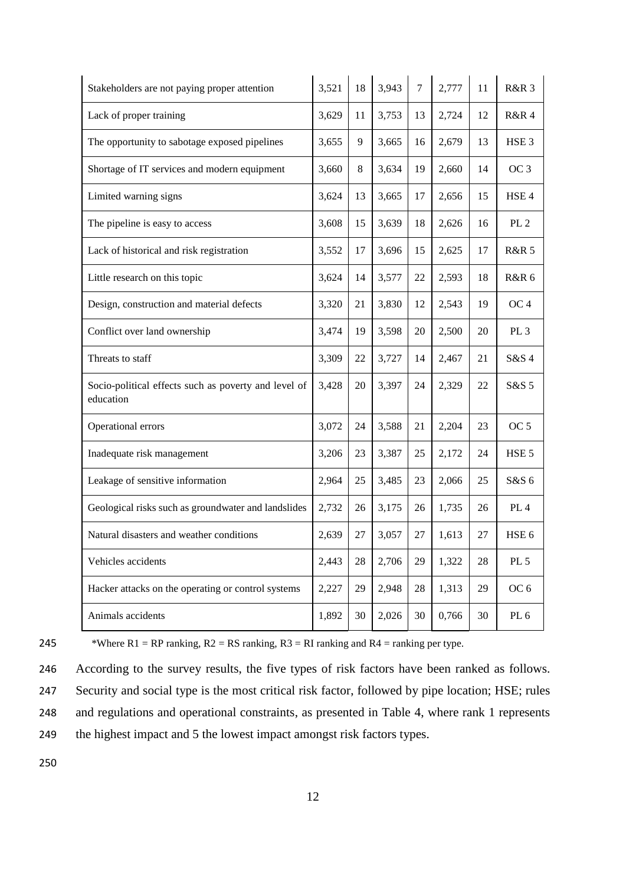| Stakeholders are not paying proper attention                      | 3,521 | 18 | 3,943 | 7  | 2,777 | 11 | <b>R&amp;R 3</b> |
|-------------------------------------------------------------------|-------|----|-------|----|-------|----|------------------|
| Lack of proper training                                           | 3,629 | 11 | 3,753 | 13 | 2,724 | 12 | <b>R&amp;R4</b>  |
| The opportunity to sabotage exposed pipelines                     | 3,655 | 9  | 3,665 | 16 | 2,679 | 13 | HSE <sub>3</sub> |
| Shortage of IT services and modern equipment                      | 3,660 | 8  | 3,634 | 19 | 2,660 | 14 | OC <sub>3</sub>  |
| Limited warning signs                                             | 3,624 | 13 | 3,665 | 17 | 2,656 | 15 | HSE <sub>4</sub> |
| The pipeline is easy to access                                    | 3,608 | 15 | 3,639 | 18 | 2,626 | 16 | PL <sub>2</sub>  |
| Lack of historical and risk registration                          | 3,552 | 17 | 3,696 | 15 | 2,625 | 17 | <b>R&amp;R 5</b> |
| Little research on this topic                                     | 3,624 | 14 | 3,577 | 22 | 2,593 | 18 | <b>R&amp;R 6</b> |
| Design, construction and material defects                         | 3,320 | 21 | 3,830 | 12 | 2,543 | 19 | OC <sub>4</sub>  |
| Conflict over land ownership                                      | 3,474 | 19 | 3,598 | 20 | 2,500 | 20 | PL <sub>3</sub>  |
| Threats to staff                                                  | 3,309 | 22 | 3,727 | 14 | 2,467 | 21 | $S&S$ 4          |
| Socio-political effects such as poverty and level of<br>education | 3,428 | 20 | 3,397 | 24 | 2,329 | 22 | S&S 5            |
| Operational errors                                                | 3,072 | 24 | 3,588 | 21 | 2,204 | 23 | OC <sub>5</sub>  |
| Inadequate risk management                                        | 3,206 | 23 | 3,387 | 25 | 2,172 | 24 | HSE <sub>5</sub> |
| Leakage of sensitive information                                  | 2,964 | 25 | 3,485 | 23 | 2,066 | 25 | $S&S$ 6          |
| Geological risks such as groundwater and landslides               | 2,732 | 26 | 3,175 | 26 | 1,735 | 26 | PL <sub>4</sub>  |
| Natural disasters and weather conditions                          | 2,639 | 27 | 3,057 | 27 | 1,613 | 27 | HSE <sub>6</sub> |
| Vehicles accidents                                                | 2,443 | 28 | 2,706 | 29 | 1,322 | 28 | PL 5             |
| Hacker attacks on the operating or control systems                | 2,227 | 29 | 2,948 | 28 | 1,313 | 29 | OC <sub>6</sub>  |
| Animals accidents                                                 | 1,892 | 30 | 2,026 | 30 | 0,766 | 30 | PL <sub>6</sub>  |

245 \*Where  $R1 = RP$  ranking,  $R2 = RS$  ranking,  $R3 = RI$  ranking and  $R4 = \text{ranking per type.}$ 

 According to the survey results, the five types of risk factors have been ranked as follows. Security and social type is the most critical risk factor, followed by pipe location; HSE; rules and regulations and operational constraints, as presented in Table 4, where rank 1 represents 249 the highest impact and 5 the lowest impact amongst risk factors types.

250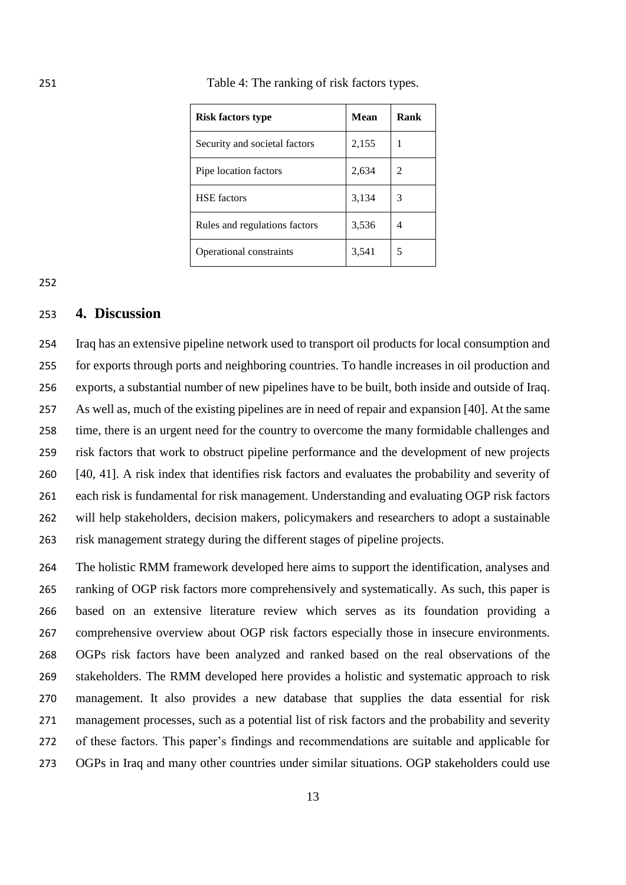| <b>Risk factors type</b>      | Mean  | Rank |
|-------------------------------|-------|------|
| Security and societal factors | 2,155 | 1    |
| Pipe location factors         | 2,634 | 2    |
| <b>HSE</b> factors            | 3,134 | 3    |
| Rules and regulations factors | 3,536 | 4    |
| Operational constraints       | 3,541 | 5    |

Table 4: The ranking of risk factors types.

#### **4. Discussion**

 Iraq has an extensive pipeline network used to transport oil products for local consumption and for exports through ports and neighboring countries. To handle increases in oil production and exports, a substantial number of new pipelines have to be built, both inside and outside of Iraq. As well as, much of the existing pipelines are in need of repair and expansion [40]. At the same time, there is an urgent need for the country to overcome the many formidable challenges and risk factors that work to obstruct pipeline performance and the development of new projects [40, 41]. A risk index that identifies risk factors and evaluates the probability and severity of each risk is fundamental for risk management. Understanding and evaluating OGP risk factors will help stakeholders, decision makers, policymakers and researchers to adopt a sustainable risk management strategy during the different stages of pipeline projects.

 The holistic RMM framework developed here aims to support the identification, analyses and ranking of OGP risk factors more comprehensively and systematically. As such, this paper is based on an extensive literature review which serves as its foundation providing a comprehensive overview about OGP risk factors especially those in insecure environments. OGPs risk factors have been analyzed and ranked based on the real observations of the stakeholders. The RMM developed here provides a holistic and systematic approach to risk management. It also provides a new database that supplies the data essential for risk management processes, such as a potential list of risk factors and the probability and severity of these factors. This paper's findings and recommendations are suitable and applicable for OGPs in Iraq and many other countries under similar situations. OGP stakeholders could use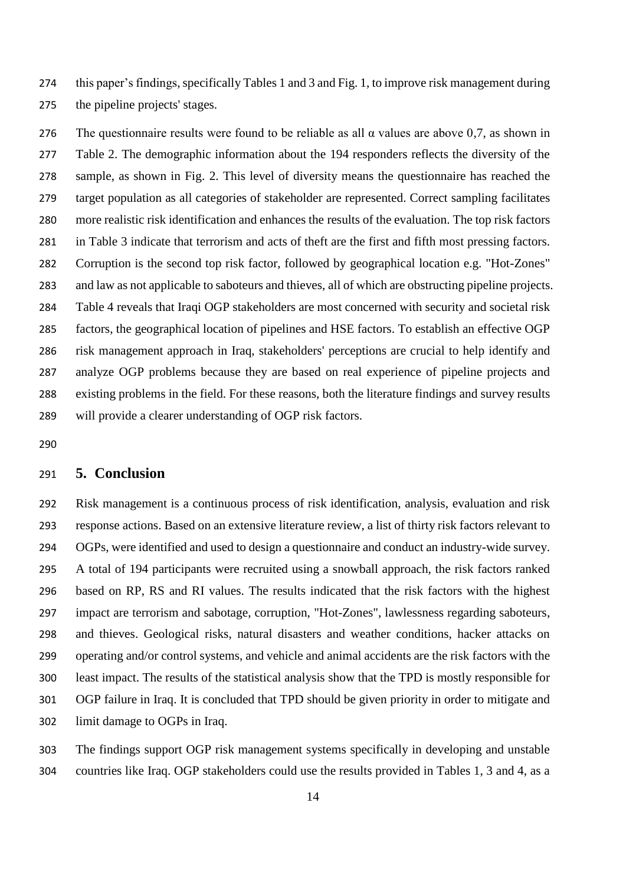this paper's findings, specifically Tables 1 and 3 and Fig. 1, to improve risk management during the pipeline projects' stages.

276 The questionnaire results were found to be reliable as all  $\alpha$  values are above 0.7, as shown in Table 2. The demographic information about the 194 responders reflects the diversity of the sample, as shown in Fig. 2. This level of diversity means the questionnaire has reached the target population as all categories of stakeholder are represented. Correct sampling facilitates more realistic risk identification and enhances the results of the evaluation. The top risk factors in Table 3 indicate that terrorism and acts of theft are the first and fifth most pressing factors. Corruption is the second top risk factor, followed by geographical location e.g. "Hot-Zones" and law as not applicable to saboteurs and thieves, all of which are obstructing pipeline projects. Table 4 reveals that Iraqi OGP stakeholders are most concerned with security and societal risk factors, the geographical location of pipelines and HSE factors. To establish an effective OGP risk management approach in Iraq, stakeholders' perceptions are crucial to help identify and analyze OGP problems because they are based on real experience of pipeline projects and existing problems in the field. For these reasons, both the literature findings and survey results will provide a clearer understanding of OGP risk factors.

#### **5. Conclusion**

 Risk management is a continuous process of risk identification, analysis, evaluation and risk response actions. Based on an extensive literature review, a list of thirty risk factors relevant to OGPs, were identified and used to design a questionnaire and conduct an industry-wide survey. A total of 194 participants were recruited using a snowball approach, the risk factors ranked based on RP, RS and RI values. The results indicated that the risk factors with the highest impact are terrorism and sabotage, corruption, "Hot-Zones", lawlessness regarding saboteurs, and thieves. Geological risks, natural disasters and weather conditions, hacker attacks on operating and/or control systems, and vehicle and animal accidents are the risk factors with the least impact. The results of the statistical analysis show that the TPD is mostly responsible for OGP failure in Iraq. It is concluded that TPD should be given priority in order to mitigate and limit damage to OGPs in Iraq.

 The findings support OGP risk management systems specifically in developing and unstable countries like Iraq. OGP stakeholders could use the results provided in Tables 1, 3 and 4, as a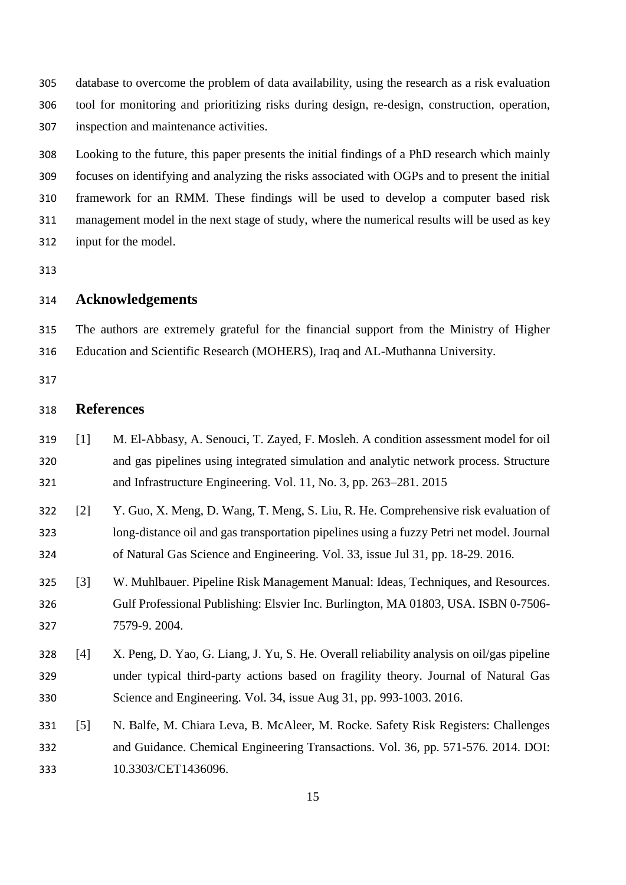database to overcome the problem of data availability, using the research as a risk evaluation tool for monitoring and prioritizing risks during design, re-design, construction, operation, inspection and maintenance activities.

 Looking to the future, this paper presents the initial findings of a PhD research which mainly focuses on identifying and analyzing the risks associated with OGPs and to present the initial framework for an RMM. These findings will be used to develop a computer based risk management model in the next stage of study, where the numerical results will be used as key input for the model.

## **Acknowledgements**

 The authors are extremely grateful for the financial support from the Ministry of Higher Education and Scientific Research (MOHERS), Iraq and AL-Muthanna University.

## **References**

- [1] M. El-Abbasy, A. Senouci, T. Zayed, F. Mosleh. A condition assessment model for oil and gas pipelines using integrated simulation and analytic network process. Structure and Infrastructure Engineering. Vol. 11, No. 3, pp. 263–281. 2015
- [2] Y. Guo, X. Meng, D. Wang, T. Meng, S. Liu, R. He. Comprehensive risk evaluation of long-distance oil and gas transportation pipelines using a fuzzy Petri net model. Journal of Natural Gas Science and Engineering. Vol. 33, issue Jul 31, pp. 18-29. 2016.
- [3] W. Muhlbauer. Pipeline Risk Management Manual: Ideas, Techniques, and Resources. Gulf Professional Publishing: Elsvier Inc. Burlington, MA 01803, USA. ISBN 0-7506- 7579-9. 2004.
- [4] X. Peng, D. Yao, G. Liang, J. Yu, S. He. Overall reliability analysis on oil/gas pipeline under typical third-party actions based on fragility theory. Journal of Natural Gas Science and Engineering. Vol. 34, issue Aug 31, pp. 993-1003. 2016.
- [5] N. Balfe, M. Chiara Leva, B. McAleer, M. Rocke. Safety Risk Registers: Challenges and Guidance. Chemical Engineering Transactions. Vol. 36, pp. 571-576. 2014. DOI: 10.3303/CET1436096.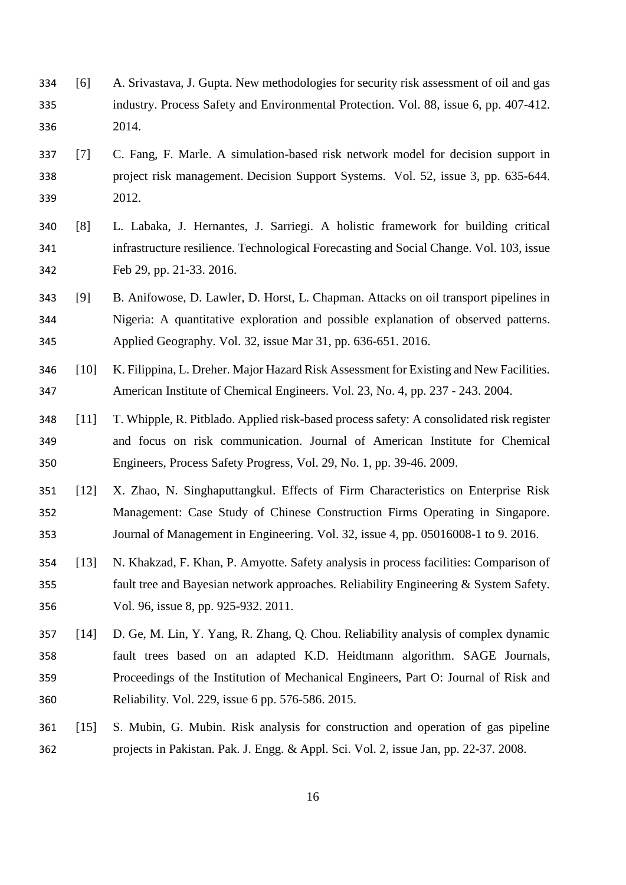- [6] A. Srivastava, J. Gupta. New methodologies for security risk assessment of oil and gas industry. Process Safety and Environmental Protection. Vol. 88, issue 6, pp. 407-412. 2014.
- [7] C. Fang, F. Marle. A simulation-based risk network model for decision support in project risk management. Decision Support Systems. Vol. 52, issue 3, pp. 635-644. 2012.
- [8] L. Labaka, J. Hernantes, J. Sarriegi. A holistic framework for building critical infrastructure resilience. Technological Forecasting and Social Change. Vol. 103, issue Feb 29, pp. 21-33. 2016.
- [9] B. Anifowose, D. Lawler, D. Horst, L. Chapman. Attacks on oil transport pipelines in Nigeria: A quantitative exploration and possible explanation of observed patterns. Applied Geography. Vol. 32, issue Mar 31, pp. 636-651. 2016.
- [10] K. Filippina, L. Dreher. Major Hazard Risk Assessment for Existing and New Facilities. American Institute of Chemical Engineers. Vol. 23, No. 4, pp. 237 - 243. 2004.
- [11] T. Whipple, R. Pitblado. Applied risk-based process safety: A consolidated risk register and focus on risk communication. Journal of American Institute for Chemical Engineers, Process Safety Progress, Vol. 29, No. 1, pp. 39-46. 2009.
- [12] X. Zhao, N. Singhaputtangkul. Effects of Firm Characteristics on Enterprise Risk Management: Case Study of Chinese Construction Firms Operating in Singapore. Journal of Management in Engineering. Vol. 32, issue 4, pp. 05016008-1 to 9. 2016.
- [13] N. Khakzad, F. Khan, P. Amyotte. Safety analysis in process facilities: Comparison of fault tree and Bayesian network approaches. Reliability Engineering & System Safety. Vol. 96, issue 8, pp. 925-932. 2011.
- [14] D. Ge, M. Lin, Y. Yang, R. Zhang, Q. Chou. Reliability analysis of complex dynamic fault trees based on an adapted K.D. Heidtmann algorithm. SAGE Journals, Proceedings of the Institution of Mechanical Engineers, Part O: Journal of Risk and Reliability. Vol. 229, issue 6 pp. 576-586. 2015.
- [15] S. Mubin, G. Mubin. Risk analysis for construction and operation of gas pipeline projects in Pakistan. Pak. J. Engg. & Appl. Sci. Vol. 2, issue Jan, pp. 22-37. 2008.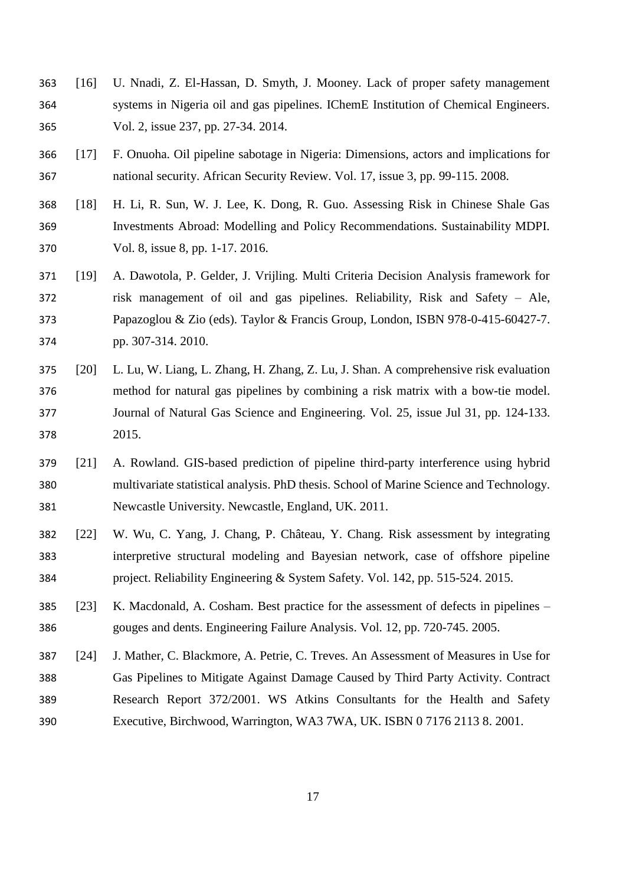- [16] U. Nnadi, Z. El-Hassan, D. Smyth, J. Mooney. Lack of proper safety management systems in Nigeria oil and gas pipelines. IChemE Institution of Chemical Engineers. Vol. 2, issue 237, pp. 27-34. 2014.
- [17] F. Onuoha. Oil pipeline sabotage in Nigeria: Dimensions, actors and implications for national security. African Security Review. Vol. 17, issue 3, pp. 99-115. 2008.
- [18] H. Li, R. Sun, W. J. Lee, K. Dong, R. Guo. Assessing Risk in Chinese Shale Gas Investments Abroad: Modelling and Policy Recommendations. Sustainability MDPI. Vol. 8, issue 8, pp. 1-17. 2016.
- [19] A. Dawotola, P. Gelder, J. Vrijling. Multi Criteria Decision Analysis framework for risk management of oil and gas pipelines. Reliability, Risk and Safety – Ale, Papazoglou & Zio (eds). Taylor & Francis Group, London, ISBN 978-0-415-60427-7. pp. 307-314. 2010.
- [20] L. Lu, W. Liang, L. Zhang, H. Zhang, Z. Lu, J. Shan. A comprehensive risk evaluation method for natural gas pipelines by combining a risk matrix with a bow-tie model. Journal of Natural Gas Science and Engineering. Vol. 25, issue Jul 31, pp. 124-133. 2015.
- [21] A. Rowland. GIS-based prediction of pipeline third-party interference using hybrid multivariate statistical analysis. PhD thesis. School of Marine Science and Technology. Newcastle University. Newcastle, England, UK. 2011.
- [22] W. Wu, C. Yang, J. Chang, P. Château, Y. Chang. Risk assessment by integrating interpretive structural modeling and Bayesian network, case of offshore pipeline project. Reliability Engineering & System Safety. Vol. 142, pp. 515-524. 2015.
- [23] K. Macdonald, A. Cosham. Best practice for the assessment of defects in pipelines gouges and dents. Engineering Failure Analysis. Vol. 12, pp. 720-745. 2005.
- [24] J. Mather, C. Blackmore, A. Petrie, C. Treves. An Assessment of Measures in Use for Gas Pipelines to Mitigate Against Damage Caused by Third Party Activity. Contract Research Report 372/2001. WS Atkins Consultants for the Health and Safety Executive, Birchwood, Warrington, WA3 7WA, UK. ISBN 0 7176 2113 8. 2001.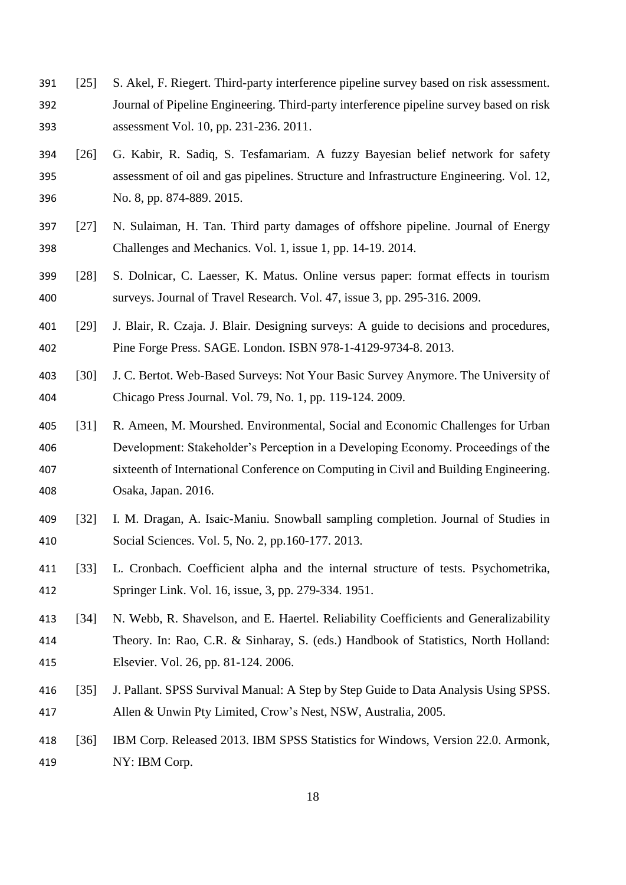- [25] S. Akel, F. Riegert. Third-party interference pipeline survey based on risk assessment. Journal of Pipeline Engineering. Third-party interference pipeline survey based on risk assessment Vol. 10, pp. 231-236. 2011.
- [26] G. Kabir, R. Sadiq, S. Tesfamariam. A fuzzy Bayesian belief network for safety assessment of oil and gas pipelines. Structure and Infrastructure Engineering. Vol. 12, No. 8, pp. 874-889. 2015.
- [27] N. Sulaiman, H. Tan. Third party damages of offshore pipeline. Journal of Energy Challenges and Mechanics. Vol. 1, issue 1, pp. 14-19. 2014.
- [28] S. Dolnicar, C. Laesser, K. Matus. Online versus paper: format effects in tourism surveys. Journal of Travel Research. Vol. 47, issue 3, pp. 295-316. 2009.
- [29] J. Blair, R. Czaja. J. Blair. Designing surveys: A guide to decisions and procedures, Pine Forge Press. SAGE. London. ISBN 978-1-4129-9734-8. 2013.
- [30] J. C. Bertot. Web-Based Surveys: Not Your Basic Survey Anymore. The University of Chicago Press Journal. Vol. 79, No. 1, pp. 119-124. 2009.
- [31] R. Ameen, M. Mourshed. Environmental, Social and Economic Challenges for Urban Development: Stakeholder's Perception in a Developing Economy. Proceedings of the sixteenth of International Conference on Computing in Civil and Building Engineering. Osaka, Japan. 2016.
- [32] I. M. Dragan, A. Isaic-Maniu. Snowball sampling completion. Journal of Studies in Social Sciences. Vol. 5, No. 2, pp.160-177. 2013.
- [33] L. Cronbach. Coefficient alpha and the internal structure of tests. Psychometrika, Springer Link. Vol. 16, issue, 3, pp. 279-334. 1951.
- [34] N. Webb, R. Shavelson, and E. Haertel. Reliability Coefficients and Generalizability Theory. In: Rao, C.R. & Sinharay, S. (eds.) Handbook of Statistics, North Holland: Elsevier. Vol. 26, pp. 81-124. 2006.
- [35] J. Pallant. SPSS Survival Manual: A Step by Step Guide to Data Analysis Using SPSS. Allen & Unwin Pty Limited, Crow's Nest, NSW, Australia, 2005.
- [36] IBM Corp. Released 2013. IBM SPSS Statistics for Windows, Version 22.0. Armonk, NY: IBM Corp.